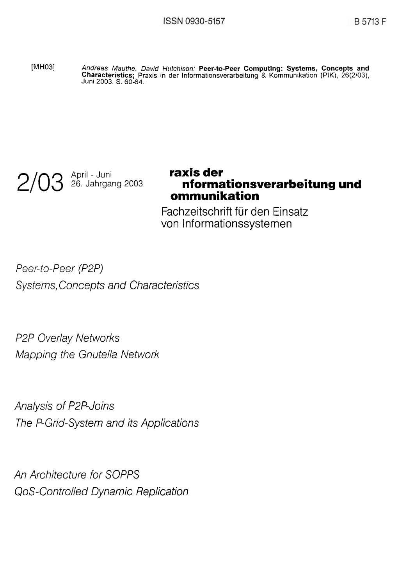[MH03] Andreas Mauthe, David Hutchison: **Peer-to-Peer Computing: Systems, Concepts and Characteristics;** Praxis **in der** Informationsverarbeitung & Kommunikation (PIK), 26(2/03), Juni 2003. S. 60-64.



# 26. Jahrgang 2003 **nformationsverarbeitung und ommunikation**

Fachzeitschrift für den Einsatz von Informationssystemen

Peer-to-Peer (P2P) Systems, Concepts and Characteristics

P2P Overlay Networks Mapping the Gnutella Network

Analysis of P2P-Joins The P-Grid-System and its Applications

An Architecture for SOPPS QoS-Controlled Dynamic Replication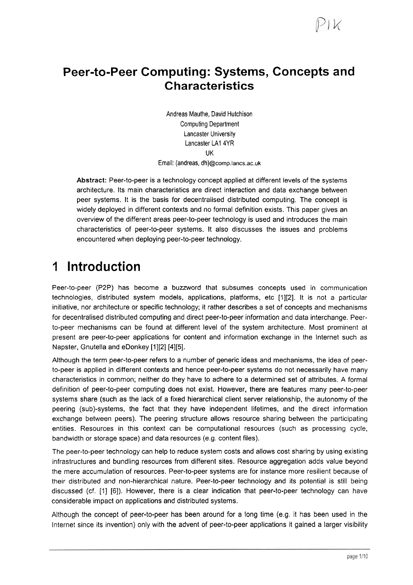### **Peer-to-Peer Computing: Systems, Concepts and Characteristics**

Andreas Mauthe, David Hutchison Computing Department Lancaster University Lancaster **LA1** 4YR UK Email: (andreas, dh)@comp.lancs.ac.uk

**Abstract:** Peer-to-peer is a technology concept applied at different levels of the systerns architecture. Its main characteristics are direct interaction and data exchange between peer systems. It is the basis for decentralised distributed computing. The concept is widely deployed in different contexts and no formal definition exists. This paper gives an overview of the different areas peer-to-peer technology is used and introduces the main characteristics of peer-to-peer systems. It also discusses the issues and problerns encountered when deploying peer-to-peer technology.

## **1 lntroduction**

Peer-to-peer (P2P) has become a buzzword that subsumes concepts used in communication technologies, distributed system models, applications, platforms, etc [1][2]. It is not a particular initiative, nor architecture or specific technology; it rather describes a set of concepts and rnechanisms for decentralised distributed computing and direct peer-to-peer information and data interchange. Peerto-peer rnechanisms can be found at different level of the system architecture. Most prominent at present are peer-to-peer applications for content and inforrnation exchange in the lnternet such as Napster, Gnutella and eDonkey [1][2] [4][5].

Although the terrn peer-to-peer refers to a nurnber of generic ideas and mechanisms, the idea of peerto-peer is applied in different contexts and hence peer-to-peer systems do not necessarily have many characteristics in comrnon; neither do they have to adhere to a determined set of attributes. A formal definition of peer-to-peer computing does not exist. However, there are features many peer-to-peer systems share (such as the lack of a fixed hierarchical client server relationship, the autonomy of the peering (sub)-systems, the fact that they have independent lifetirnes, and the direct inforrnation exchange between peers). The peering structure allows resource sharing between the participating entities. Resources in this context can be computational resources (such as processing cycle, bandwidth or storage space) and data resources (e.g. content files).

The peer-to-peer technology can help to reduce system costs and allows cost sharing by using existing infrastructures and bundling resources from different sites. Resource aggregation adds value beyond the rnere accumulation of resources. Peer-to-peer systems are for instance more resilient because of their distributed and non-hierarchical nature. Peer-to-peer technology and its potential is still being discussed (cf. [I] [6]). However, there is a clear indication that peer-to-peer technology can have considerable impact on applications and distributed systems.

Although the concept of peer-to-peer has been around for a long time (e.g. it has been used in the lnternet since its invention) only with the advent of peer-to-peer applications it gained a larger visibility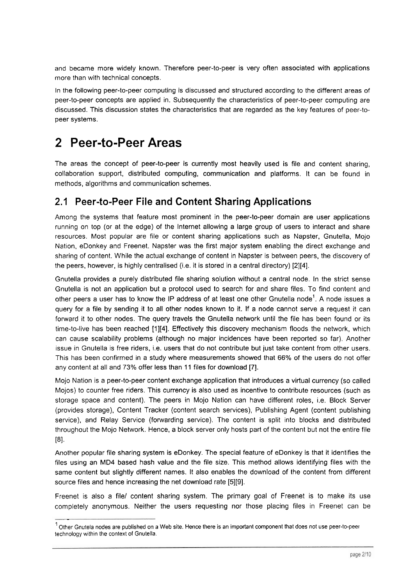and became more widely known. Therefore peer-to-peer is very often associated with applications more than with technical concepts.

In the following peer-to-peer computing is discussed and structured according to the different areas of peer-to-peer concepts are applied in. Subsequently the characteristics of peer-to-peer computing are discussed. This discussion states the characteristics that are regarded as the key features of peer-topeer systems.

### **2 Peer-to-Peer Areas**

-

The areas the concept of peer-to-peer is currently most heavily used is file and content sharing, collaboration support, distributed computing, communication and platforms. It can be found in methods, algorithms and communication schemes.

#### **2.1 Peer-to-Peer File and Content Sharing Applications**

Among the systems that feature most prominent in the peer-to-peer domain are user applications running on top (or at the edge) of the lnternet allowing a large group of users to interact and share resources. Most popular are file or content sharing applications such as Napster, Gnutella, Mojo Nation, eDonkey and Freenet. Napster was the first major system enabling the direct exchange and sharing of content. While the actual exchange of content in Napster is between peers, the discovery of the peers, however, is highly centralised (i.e. it is stored in a central directory) [2][4].

Gnutella provides a purely distributed file sharing solution without a central node. In the strict sense Gnutella is not an application but a protocol used to search for and share files. To find content and other peers a user has to know the IP address of at least one other Gnutella node<sup>1</sup>. A node issues a query for a file by sending it to all other nodes known to it. If a node cannot serve a request it can forward it to other nodes. The query travels the Gnutella network until the file has been found or its time-to-live has been reached [1][4]. Effectively this discovery mechanism floods the network, which can cause scalability problems (although no major incidences have been reported so far). Another issue in Gnutella is free riders, i.e. users that do not contribute but just take content from other users. This has been confirmed in a study where measurements showed that 66% of the users do not offer any content at all and 73% offer less than 11 files for download [7].

Mojo Nation is a peer-to-peer content exchange application that introduces a virtual currency (so called Mojos) to counter free riders. This currency is also used as incentive to contribute resources (such as storage space and content). The peers in Mojo Nation can have different roles, i.e. Block Server (provides storage), Content Tracker (content search services), Publishing Agent (content publishing service), and Relay Service (forwarding service). The content is split into blocks and distributed throughout the Mojo Network. Hence, a block Server only hosts part of the content but not the entire file  $[8]$ .

Another popular file sharing system is eDonkey. The special feature of eDonkey is that it identifies the files using an MD4 based hash value and the file size. This method allows identifying files with the same content but slightly different names. It also enables the download of the content from different source files and hence increasing the net download rate [5][9].

Freenet is also a filel content sharing system. The primary goal of Freenet is to make its use completely anonymous. Neither the users requesting nor those placing files in Freenet can be

 $1$  Other Gnutela nodes are published on a Web site. Hence there is an important component that does not use peer-to-peer technology within the context of Gnutella.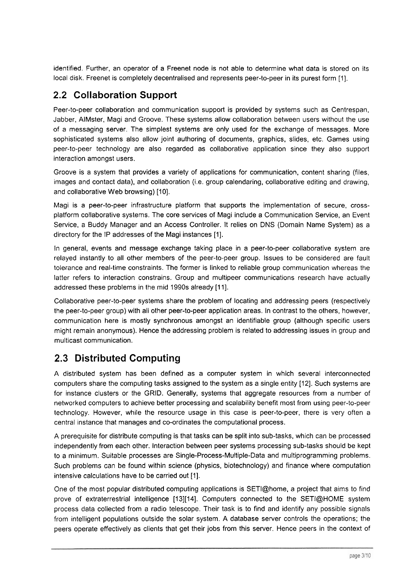identified. Further, an operator of a Freenet node is not able to determine what data is stored on its local disk. Freenet is completely decentralised and represents peer-to-peer in its purest form [1].

#### **2.2 Collaboration Support**

Peer-to-peer collaboration and communication support is provided by systems such as Centrespan, Jabber, AIMster, Magi and Groove. These systems allow collaboration between users without the use of a messaging server. The simplest systems are only used for the exchange of messages. More sophisticated systems also allow joint authoring of documents, graphics, slides, etc. Games using peer-to-peer technology are also regarded as collaborative application since they also support interaction amongst users.

Groove is a system that provides a variety of applications for communication, content sharing (files, images and contact data), and collaboration (i.e. group calendaring, collaborative editing and drawing, and collaborative Web browsing) [IO].

Magi is a peer-to-peer infrastructure platform that supports the implementation of secure, crossplatform collaborative systems. The core services of Magi include a Communication Service, an Event Service, a Buddy Manager and an Access Controller. It relies on DNS (Domain Name System) as a directory for the 1P addresses of the Magi instances [I].

In general, events and message exchange taking place in a peer-to-peer collaborative system are relayed instantly to all other members of the peer-to-peer group. lssues to be considered are fault tolerante and real-time constraints. The former is linked to reliable group communication whereas the latter refers to interaction constrains. Group and multipeer communications research have actually addressed these problems in the mid 1990s already [11].

Collaborative peer-to-peer systems share the problem of locating and addressing peers (respectively the peer-to-peer group) with all other peer-to-peer application areas. In contrast to the others, however, communication here is mostly synchronous amongst an identifiable group (although specific users might remain anonymous). Hence the addressing problem is related to addressing issues in group and multicast communication.

### **2.3 Distributed Computing**

A distributed system has been defined as a computer system in which several interconnected computers share the computing tasks assigned to the system as a single entity [12]. Such systems are for instance clusters or the GRID. Generally, systems that aggregate resources from a number of networked computers to achieve better processing and scalability benefit most from using peer-to-peer technology. However, while the resource usage in this case is peer-to-peer, there is very often a central instance that manages and CO-ordinates the computational process.

A prerequisite for distribute computing is that tasks can be split into sub-tasks, which can be processed independently from each other. Interaction between peer systems processing sub-tasks should be kept to a minimum. Suitable processes are Single-Process-Multiple-Data and multiprogramming problems. Such problems can be found within science (physics, biotechnology) and finance where computation intensive calculations have to be carried out [I].

One of the most popular distributed computing applications is SETIQhome, a project that aims to find prove of extraterrestrial intelligence [13][14]. Computers connected to the SETI@HOME system process data collected from a radio telescope. Their task is to find and identify any possible signals from intelligent populations outside the solar system. A database server controls the operations; the peers operate effectively as clients that get their jobs from this server. Hence peers in the context of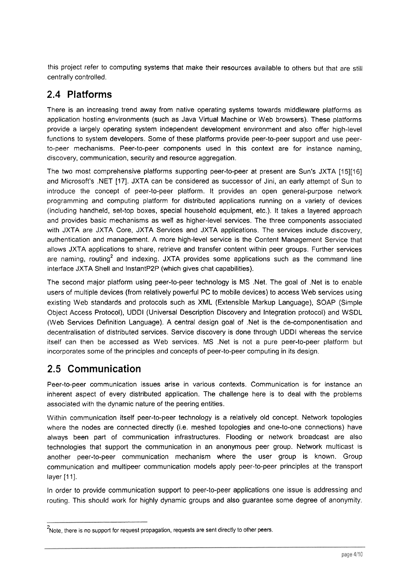this project refer to computing systems that make their resources available to others but that are still centrally controlled.

#### **2.4 Platforms**

There is an increasing trend away from native operating systems towards middleware platforms as application hosting environments (such as Java Virtual Machine or Web browsers). These platforms provide a largely operating system independent development environment and also offer high-level functions to system developers. Some of these platforms provide peer-to-peer support and use peerto-peer mechanisms. Peer-to-peer components used in this context are for instance naming, discovery, communication, security and resource aggregation.

The two most comprehensive platforms supporting peer-to-peer at present are Sun's JXTA [15][16] and Microsoft's .NET [17]. JXTA can be considered as successor of Jini, an early attempt of Sun to introduce the concept of peer-to-peer platform. It provides an Open general-purpose network programming and computing platform for distributed applications running on a variety of devices (including handheld, set-top boxes, special household equipment, etc.). It takes a layered approach and provides basic mechanisms as well as higher-level services. The three components associated with JXTA are JXTA Core, JXTA Services and JXTA applications. The services include discovery, authentication and management. A more high-level service is the Content Management Service that allows JXTA applications to share, retrieve and transfer content within peer groups. Further services are naming, routing<sup>2</sup> and indexing. JXTA provides some applications such as the command line interface JXTA Shell and InstantP2P (which gives chat capabilities).

The second major platform using peer-to-peer technology is MS .Net. The goal of .Net is to enable Users of multiple devices (from relatively powerful PC to mobile devices) to access Web services using existing Web standards and protocols such as XML (Extensible Markup Language), SOAP (Simple Object Access Protocol), UDDl (Universal Description Discovery and Integration protocol) and WSDL (Web Services Definition Language). A central design goal of .Net is the de-componentisation and decentralisation of distributed services. Service discovery is done through UDDl whereas the service itself can then be accessed as Web services. MS .Net is not a pure peer-to-peer platform but incorporates some of the principles and concepts of peer-to-peer computing in its design.

#### **2.5 Communication**

Peer-to-peer communication issues arise in various contexts. Communication is for instance an inherent aspect of every distributed application. The challenge here is to deal with the problems associated with the dynamic nature of the peering entities.

Within communication itself peer-to-peer technology is a relatively old concept. Network topologies where the nodes are connected directly (i.e. meshed topologies and one-to-one connections) have always been part of communication infrastructures. Flooding or network broadcast are also technologies that support the communication in an anonymous peer group. Network multicast is another peer-to-peer communication mechanism where the user group is known. Group communication and multipeer communication models apply peer-to-peer principles at the transport layer [11].

In order to provide communication support to peer-to-peer applications one issue is addressing and routing. This should work for highly dynamic groups and also guarantee some degree of anonymity.

<sup>&</sup>lt;sup>2</sup> Note, there is no support for request propagation, requests are sent directly to other peers.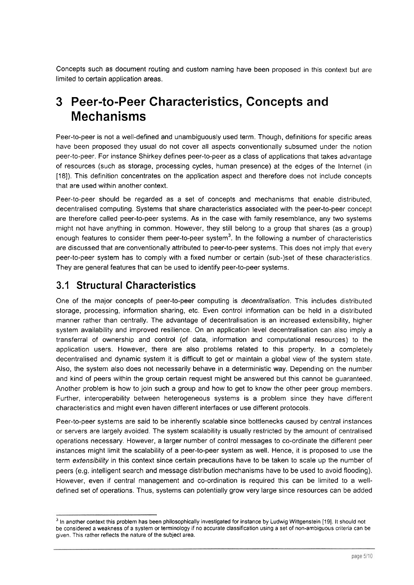Concepts such as document routing and custom naming have been proposed in this context but are limited to certain application areas.

### **3 Peer-to-Peer Characteristics, Concepts and Mechanisms**

Peer-to-peer is not a well-defined and unambiguously used term. Though, definitions for specific areas have been proposed they usual do not Cover all aspects conventionally subsumed under the notion peer-to-peer. For instance Shirkey defines peer-to-peer as a class of applications that takes advantage of resources (such as storage, processing cycles, human presence) at the edges of the lnternet (in [18]). This definition concentrates on the application aspect and therefore does not include concepts that are used within another context.

Peer-to-peer should be regarded as a set of concepts and mechanisms that enable distributed, decentralised computing. Systems that share characteristics associated with the peer-to-peer concept are therefore called peer-to-peer systems. As in the case with family resemblance, any two systems might not have anything in common. However, they still belong to a group that shares (as a group) enough features to consider them peer-to-peer system<sup>3</sup>. In the following a number of characteristics are discussed that are conventionally attributed to peer-to-peer systems. This does not imply that every peer-to-peer system has to comply with a fixed number or certain (sub-)set of these characteristics. They are general features that can be used to identify peer-to-peer systems.

### **3.1 Structural Characteristics**

One of the major concepts of peer-to-peer computing is decentralisation. This includes distributed storage, processing, information sharing, etc. Even control information can be held in a distributed manner rather than centrally. The advantage of decentralisation is an increased extensibility, higher system availability and improved resilience. On an application level decentralisation can also imply a transferral of ownership and control (of data, information and computational resources) to the application users. However, there are also problems related to this property. In a completely decentralised and dynamic system it is difficult to get or maintain a global view of the system state. Also, the system also does not necessarily behave in a deterministic way. Depending on the number and kind of peers within the group certain request might be answered but this cannot be guaranteed. Another problem is how to join such a group and how to get to know the other peer group members. Further, interoperability between heterogeneous systems is a problem since they have different characteristics and might even haven different interfaces or use different protocols.

Peer-to-peer systems are said to be inherently scalable since bottlenecks caused by central instances or Servers are largely avoided. The system scalability is usually restricted by the amount of centralised operations necessary. However, a larger number of control messages to CO-ordinate the different peer instances might limit the scalability of a peer-to-peer system as well. Hence, it is proposed to use the term extensibility in this context since certain precautions have to be taken to scale up the number of peers (e.g. intelligent search and message distribution mechanisms have to be used to avoid flooding). However, even if central management and CO-ordination is required this can be limited to a welldefined set of operations. Thus, systems can potentially grow very large since resources can be added

<sup>&</sup>lt;sup>3</sup> In another context this problem has been philosophically investigated for instance by Ludwig Wittgenstein [19]. It should not be considered a weakness of a System or terminology if no accurate classification using a Set of non-ambiguous crileria can be given. This rather reflects the nature of the subject area.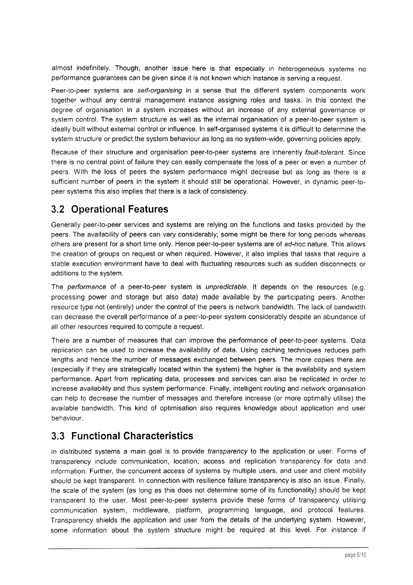almost indefinitely. Though, another issue here is that especially in heterogeneous systems no performance guarantees can be given since it is not known which instance is serving a request.

Peer-to-peer systems are self-organising in a sense that the different system components work together without any central management instance assigning roles and tasks. In this context the degree of organisation in a system increases without an increase of any external governance or system control. The system structure as well as the internal organisation of a peer-to-peer system is ideally built without external control or influence. In self-organised systems it is difficult to determine the system structure or predict the system behaviour as long as no system-wide, governing policies apply.

Because of their structure and organisation peer-to-peer systems are inherently fault-tolerant. Since there is no central point of failure they can easily compensate the loss of a peer or even a number of peers. With the loss of peers the system performance might decrease but as long as there is a sufficient number of peers in the system it should still be operational. However, in dynamic peer-topeer systems this also implies that there is a lack of consistency.

### **3.2 Operational Features**

Generally peer-to-peer services and systems are relying on the functions and tasks provided by the peers. The availability of peers can vary considerably; some might be there for long periods whereas others are present for a short time only. Hence peer-to-peer systems are of ad-hoc nature. This allows the creation of groups on request or when required. However, it also implies that tasks that require a stable execution environment have to deal with fluctuating resources such as sudden disconnects or additions to the system.

The performance of a peer-to-peer system is unpredictable. It depends on the resources (e.g. processing power and storage but also data) made available by the participating peers. Another resource type not (entirely) under the control of the peers is network bandwidth. The lack of bandwidth can decrease the overall performance of a peer-to-peer system considerably despite an abundance of all other resources required to compute a request.

There are a number of measures that can improve the performance of peer-to-peer systems. Data replication can be used to increase the availability of data. Using caching techniques reduces path lengths and hence the number of messages exchanged between peers. The more copies there are (especially if they are strategically located within the system) the higher is the availability and system performance. Apart from replicating data, processes and services can also be replicated in order to increase availability and thus system performance. Finally, intelligent routing and network organisation can help to decrease the number of messages and therefore increase (or more optimally utilise) the available bandwidth. This kind of optimisation also requires knowledge about application and user behaviour.

#### **3.3 Functional Characteristics**

In distributed systems a main goal is to provide transparency to the application or user. Forms of transparency include communication, location, access and replication transparency for data and information. Further, the concurrent access of systems by multiple users, and user and client mobility should be kept transparent. In connection with resilience failure transparency is also an issue. Finally, the scale of the system (as long as this does not determine some of its functionality) should be kept transparent to the user. Most peer-to-peer systems provide these forms of transparency utilising communication system, middleware, platform, programming language, and protocol features. Transparency shields the application and User from the details of the underlying system. However, some information about the system structure might be required at this level. For instance if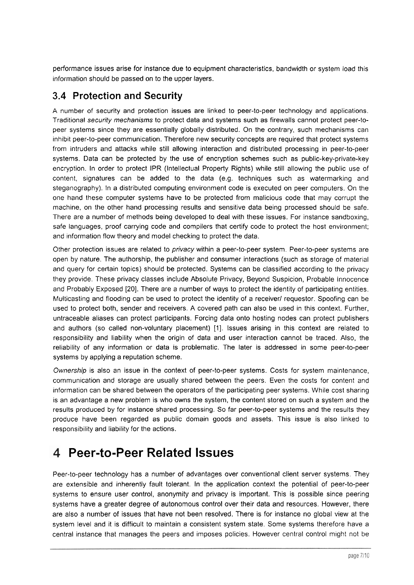performance issues arise for instance due to equipment characteristics, bandwidth or system load this information should be passed on to the upper layers.

#### **3.4 Protection and Security**

A number of security and protection issues are linked to peer-to-peer technology and applications. Traditional security mechanisms to protect data and systems such as firewalls cannot protect peer-to-Peer systems since they are essentially globally distributed. On the contrary, such mechanisms can inhibit peer-to-peer communication. Therefore new security concepts are required that protect systems from intruders and attacks while still allowing interaction and distributed processing in peer-to-peer systems. Data can be protected by the use of encryption schemes such as public-key-private-key encryption. In order to protect IPR (Intellectual Property Rights) while still allowing the public use of content, signatures can be added to the data (e.g. techniques such as watermarking and steganography). In a distributed computing environment code is executed on peer computers. On the one hand these computer systems have to be protected from malicious code that may corrupt the machine, on the other hand processing results and sensitive data being processed should be safe. There are a number of methods being developed to deal with these issues. For instance sandboxing, safe languages, proof carrying code and compilers that certify code to protect the host environment; and information flow theory and model checking to protect the data.

Other protection issues are related to privacy within a peer-to-peer system. Peer-to-peer systems are Open by nature. The authorship, the publisher and consumer interactions (such as storage of material and query for certain topics) should be protected. Systems can be classified according to the privacy they provide. These privacy classes include Absolute Privacy, Beyond Suspicion, Probable lnnocence and Probably Exposed [20]. There are a number of ways to protect the identity of participating entities. Multicasting and flooding can be used to protect the identity of a receiver/ requestor. Spoofing can be used to protect both, sender and receivers. A covered path can also be used in this context. Further, untraceable aliases can protect participants. Forcing data onto hosting nodes can protect publishers and authors (so called non-voluntary placement) [I]. Issues arising in this context are related to responsibility and liability when the origin of data and User interaction cannot be traced. Also, the reliability of any information or data is problematic. The later is addressed in some peer-to-peer systems by applying a reputation scheme.

Ownership is also an issue in the context of peer-to-peer systems. Costs for system maintenance, communication and storage are usually shared between the peers. Even the costs for content and information can be shared between the operators of the participating peer systems. While cost sharing is an advantage a new problem is who owns the system, the content stored on such a system and the results produced by for instance shared processing. So far peer-to-peer systems and the results they produce have been regarded as public domain goods and assets. This issue is also linked to responsibility and liability for the actions.

## **Peer-to-Peer Related lssues**

Peer-to-peer technology has a number of advantages over conventional client server systems. They are extensible and inherently fault tolerant. In the application context the potential of peer-to-peer systems to ensure user control, anonymity and privacy is important. This is possible since peering systems have a greater degree of autonomous control over their data and resources. However, there are also a number of issues that have not been resolved. There is for instance no global view at the system level and it is difficult to maintain a consistent system state. Some systems therefore have a central instance that manages the peers and imposes policies. However central control might not be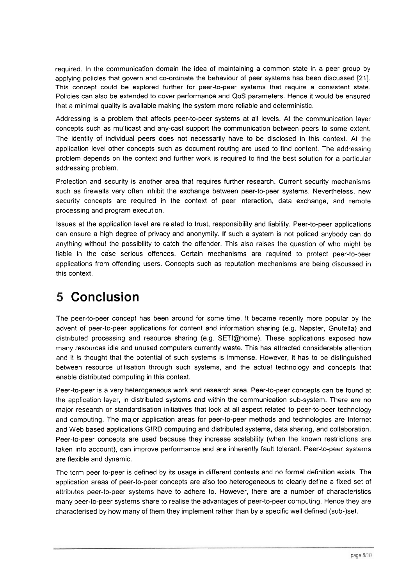required. In the communication domain the idea of maintaining a common state in a peer group by applying policies that govern and co-ordinate the behaviour of peer systems has been discussed [21]. This concept could be explored further for peer-to-peer systems that require a consistent state. Policies can also be extended to cover performance and QoS parameters. Hence it would be ensured that a minimal quality is available making the system more reliable and deterministic.

Addressing is a problem that affects peer-to-peer systems at all levels. At the communication layer concepts such as multicast and any-cast support the communication between peers to some extent. The identity of individual peers does not necessarily have to be disclosed in this context. At the application level other concepts such as document routing are used to find content. The addressing problem depends on the context and further work is required to find the best solution for a particular addressing problem.

Protection and security is another area that requires further research. Current security mechanisms such as firewalls very often inhibit the exchange between peer-to-peer systems. Nevertheless, new security concepts are required in the context of peer interaction, data exchange, and remote processing and program execution.

Issues at the application level are related to trust, responsibility and liability. Peer-to-peer applications can ensure a high degree of privacy and anonymity. If such a system is not policed anybody can do anything without the possibility to catch the offender. This also raises the question of who might be liable in the case serious offences. Certain mechanisms are required to protect peer-to-peer applications from offending Users. Concepts such as reputation mechanisms are being discussed in this context.

#### 5 **Conclusion**

The peer-to-peer concept has been around for some time. It became recently more popular by the advent of peer-to-peer applications for content and information sharing (e.g. Napster, Gnutella) and distributed processing and resource sharing (e.g. SETI@home). These applications exposed how many resources idle and unused computers currently waste. This has attracted considerable attention and it is thought that the potential of such systems is immense. However, it has to be distinguished between resource utilisation through such systems, and the actual technology and concepts that enable distributed computing in this context.

Peer-to-peer is a very heterogeneous work and research area. Peer-to-peer concepts can be found at the application layer, in distributed systems and within the communication sub-system. There are no major research or standardisation initiatives that look at all aspect related to peer-to-peer technology and computing. The major application areas for peer-to-peer methods and technologies are lnternet and Web based applications GlRD computing and distributed systems, data sharing, and collaboration. Peer-to-peer concepts are used because they increase scalability (when the known restrictions are taken into account), can improve performance and are inherently fault tolerant. Peer-to-peer systems are flexible and dynamic.

The term peer-to-peer is defined by its usage in different contexts and no formal definition exists. The application areas of peer-to-peer concepts are also too heterogeneous to clearly define a fixed set of attributes peer-to-peer systems have to adhere to. However, there are a number of characteristics many peer-to-peer systems share to realise the advantages of peer-to-peer computing. Hence they are characterised by how many of them they implement rather than by a specific well defined (sub-)set.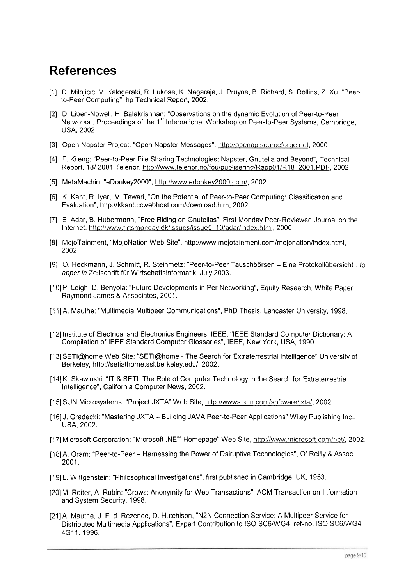### **References**

- [I] D. Milojicic, V. Kalogeraki, R. Lukose, K. Nagaraja, J. Pruyne, B. Richard, S. Rollins, Z. Xu: "Peerto-Peer Computing", hp Technical Report, 2002.
- [2] D. Liben-Nowell, H. Balakrishnan: "Observations on the dynamic Evolution of Peer-to-Peer Networks", Proceedings of the 1<sup>st</sup> International Workshop on Peer-to-Peer Systems, Cambridge, USA. 2002.
- [3] Open Napster Project, "Open Napster Messages", http://openap.sourceforge.net, 2000.
- [4] F. Kileng: "Peer-to-Peer File Sharing Technologies: Napster, Gnutella and Beyond", Technical Report, 18/ 2001 Telenor, http://www.telenor.no/fou/publisering/Rapp01/R18 2001 .PDF, 2002.
- [5] MetaMachin, "eDonkey2000", http://www.edonkey2000.com/, 2002.
- [6] K. Kant, R. lyer, V. Tewari, "On the Potential of Peer-to-Peer Computing: Classification and Evaluation", http://kkant.ccwebhost.com/download.htm, 2002
- [7] E. Adar, B. Hubermann, "Free Riding on Gnutellas", First Monday Peer-Reviewed Journal on the Internet, http://www.firtsmonday.dk/issues/issue5\_10/adar/index.html, 2000
- [8] MojoTainment, "MojoNation Web Site", http://www.mojotainment.com/mojonation/index.html, 2002.
- [9] O. Heckmann, J. Schmitt, R. Steinmetz: "Peer-to-Peer Tauschbörsen Eine Protokollübersicht", to apper in Zeitschrift für Wirtschaftsinformatik, July 2003.
- [10] P. Leigh, D. Benyola: "Future Developments in Per Networking", Equity Research, White Paper, Raymond James & Associates, 2001.
- [I 1]A. Mauthe: "Multimedia Multipeer Communications", PhD Thesis, Lancaster University, 1998.
- [I21 Institute of Electrical and Electronics Engineers, IEEE: "IEEE Standard Computer Dictionary: A Compilation of IEEE Standard Computer Glossaries", IEEE, New York, USA, 1990.
- [13] SETI@home Web Site: "SETI@home The Search for Extraterrestrial Intelligence" University of Berkeley, http://setiathome.ssI.berkeley.edu/, 2002.
- [I41 K. Skawinski: "IT & SETI: The Role of Computer Technology in the Search for Extraterrestrial Intelligence", California Computer News, 2002.
- [15] SUN Microsystems: "Project JXTA" Web Site, http://wwws.sun.com/software/jxta/, 2002.
- [16] J. Gradecki: "Mastering JXTA Building JAVA Peer-to-Peer Applications" Wiley Publishing Inc., USA, 2002.
- [17] Microsoft Corporation: "Microsoft .NET Homepage" Web Site, http://www.microsoft.com/net/, 2002.
- [18] A. Oram: "Peer-to-Peer Harnessing the Power of Dsiruptive Technologies", O' Reilly & Assoc., 2001.
- [19] L. Wittgenstein: "Philosophical Investigations", first published in Cambridge, UK, 1953.
- [20] M. Reiter, A. Rubin: "Crows: Anonymity for Web Transactions", ACM Transaction on Information and System Security, 1998.
- [21]A. Mauthe, J. F. d. Rezende, D. Hutchison, "N2N Connection Service: A Multipeer Service for Distributed Multimedia Applications", Expert Contribution to ISO SC6IWG4, ref-no. ISO SC6lWG4 4G11. 1996.